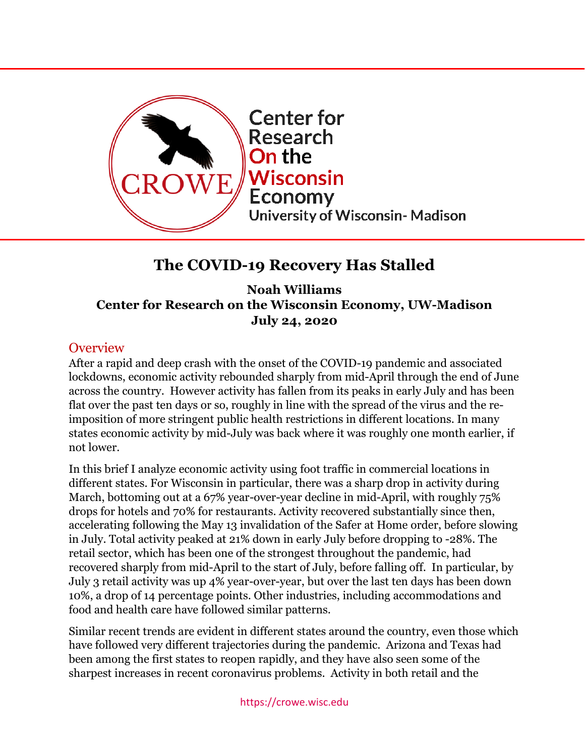

# **The COVID-19 Recovery Has Stalled**

**Noah Williams Center for Research on the Wisconsin Economy, UW-Madison July 24, 2020**

## **Overview**

After a rapid and deep crash with the onset of the COVID-19 pandemic and associated lockdowns, economic activity rebounded sharply from mid-April through the end of June across the country. However activity has fallen from its peaks in early July and has been flat over the past ten days or so, roughly in line with the spread of the virus and the reimposition of more stringent public health restrictions in different locations. In many states economic activity by mid-July was back where it was roughly one month earlier, if not lower.

In this brief I analyze economic activity using foot traffic in commercial locations in different states. For Wisconsin in particular, there was a sharp drop in activity during March, bottoming out at a 67% year-over-year decline in mid-April, with roughly 75% drops for hotels and 70% for restaurants. Activity recovered substantially since then, accelerating following the May 13 invalidation of the Safer at Home order, before slowing in July. Total activity peaked at 21% down in early July before dropping to -28%. The retail sector, which has been one of the strongest throughout the pandemic, had recovered sharply from mid-April to the start of July, before falling off. In particular, by July 3 retail activity was up 4% year-over-year, but over the last ten days has been down 10%, a drop of 14 percentage points. Other industries, including accommodations and food and health care have followed similar patterns.

Similar recent trends are evident in different states around the country, even those which have followed very different trajectories during the pandemic. Arizona and Texas had been among the first states to reopen rapidly, and they have also seen some of the sharpest increases in recent coronavirus problems. Activity in both retail and the

https://crowe.wisc.edu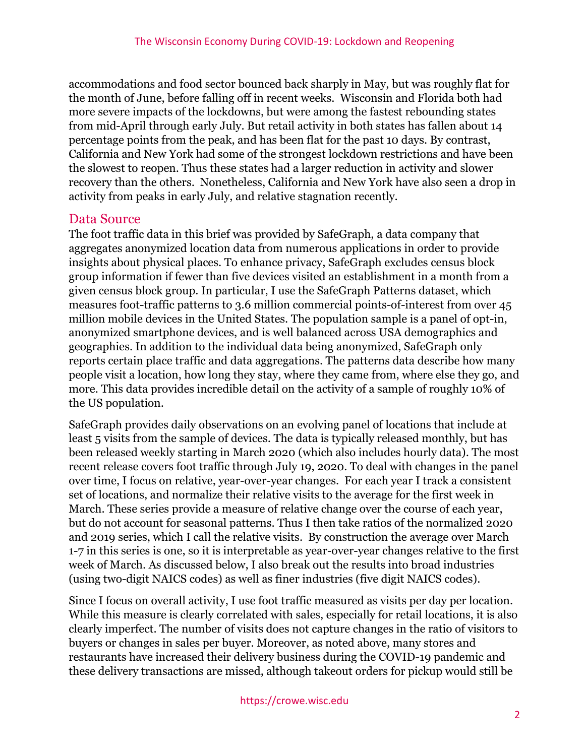accommodations and food sector bounced back sharply in May, but was roughly flat for the month of June, before falling off in recent weeks. Wisconsin and Florida both had more severe impacts of the lockdowns, but were among the fastest rebounding states from mid-April through early July. But retail activity in both states has fallen about 14 percentage points from the peak, and has been flat for the past 10 days. By contrast, California and New York had some of the strongest lockdown restrictions and have been the slowest to reopen. Thus these states had a larger reduction in activity and slower recovery than the others. Nonetheless, California and New York have also seen a drop in activity from peaks in early July, and relative stagnation recently.

#### Data Source

The foot traffic data in this brief was provided by SafeGraph, a data company that aggregates anonymized location data from numerous applications in order to provide insights about physical places. To enhance privacy, SafeGraph excludes census block group information if fewer than five devices visited an establishment in a month from a given census block group. In particular, I use the SafeGraph Patterns dataset, which measures foot-traffic patterns to 3.6 million commercial points-of-interest from over 45 million mobile devices in the United States. The population sample is a panel of opt-in, anonymized smartphone devices, and is well balanced across USA demographics and geographies. In addition to the individual data being anonymized, SafeGraph only reports certain place traffic and data aggregations. The patterns data describe how many people visit a location, how long they stay, where they came from, where else they go, and more. This data provides incredible detail on the activity of a sample of roughly 10% of the US population.

SafeGraph provides daily observations on an evolving panel of locations that include at least 5 visits from the sample of devices. The data is typically released monthly, but has been released weekly starting in March 2020 (which also includes hourly data). The most recent release covers foot traffic through July 19, 2020. To deal with changes in the panel over time, I focus on relative, year-over-year changes. For each year I track a consistent set of locations, and normalize their relative visits to the average for the first week in March. These series provide a measure of relative change over the course of each year, but do not account for seasonal patterns. Thus I then take ratios of the normalized 2020 and 2019 series, which I call the relative visits. By construction the average over March 1-7 in this series is one, so it is interpretable as year-over-year changes relative to the first week of March. As discussed below, I also break out the results into broad industries (using two-digit NAICS codes) as well as finer industries (five digit NAICS codes).

Since I focus on overall activity, I use foot traffic measured as visits per day per location. While this measure is clearly correlated with sales, especially for retail locations, it is also clearly imperfect. The number of visits does not capture changes in the ratio of visitors to buyers or changes in sales per buyer. Moreover, as noted above, many stores and restaurants have increased their delivery business during the COVID-19 pandemic and these delivery transactions are missed, although takeout orders for pickup would still be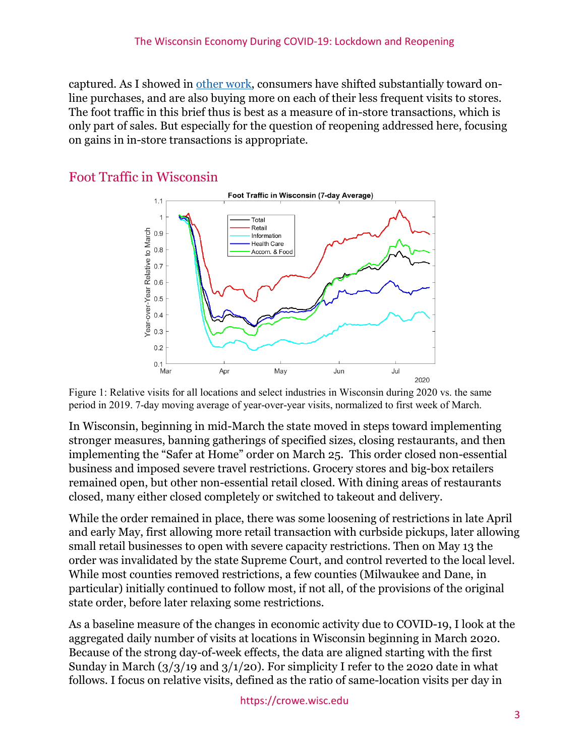captured. As I showed in [other work,](https://crowe.wisc.edu/wp-content/uploads/sites/313/2020/04/consumption.pdf) consumers have shifted substantially toward online purchases, and are also buying more on each of their less frequent visits to stores. The foot traffic in this brief thus is best as a measure of in-store transactions, which is only part of sales. But especially for the question of reopening addressed here, focusing on gains in in-store transactions is appropriate.

### Foot Traffic in Wisconsin



Figure 1: Relative visits for all locations and select industries in Wisconsin during 2020 vs. the same period in 2019. 7-day moving average of year-over-year visits, normalized to first week of March.

In Wisconsin, beginning in mid-March the state moved in steps toward implementing stronger measures, banning gatherings of specified sizes, closing restaurants, and then implementing the "Safer at Home" order on March 25. This order closed non-essential business and imposed severe travel restrictions. Grocery stores and big-box retailers remained open, but other non-essential retail closed. With dining areas of restaurants closed, many either closed completely or switched to takeout and delivery.

While the order remained in place, there was some loosening of restrictions in late April and early May, first allowing more retail transaction with curbside pickups, later allowing small retail businesses to open with severe capacity restrictions. Then on May 13 the order was invalidated by the state Supreme Court, and control reverted to the local level. While most counties removed restrictions, a few counties (Milwaukee and Dane, in particular) initially continued to follow most, if not all, of the provisions of the original state order, before later relaxing some restrictions.

As a baseline measure of the changes in economic activity due to COVID-19, I look at the aggregated daily number of visits at locations in Wisconsin beginning in March 2020. Because of the strong day-of-week effects, the data are aligned starting with the first Sunday in March  $\left(\frac{3}{3}\right)$  (1/20). For simplicity I refer to the 2020 date in what follows. I focus on relative visits, defined as the ratio of same-location visits per day in

https://crowe.wisc.edu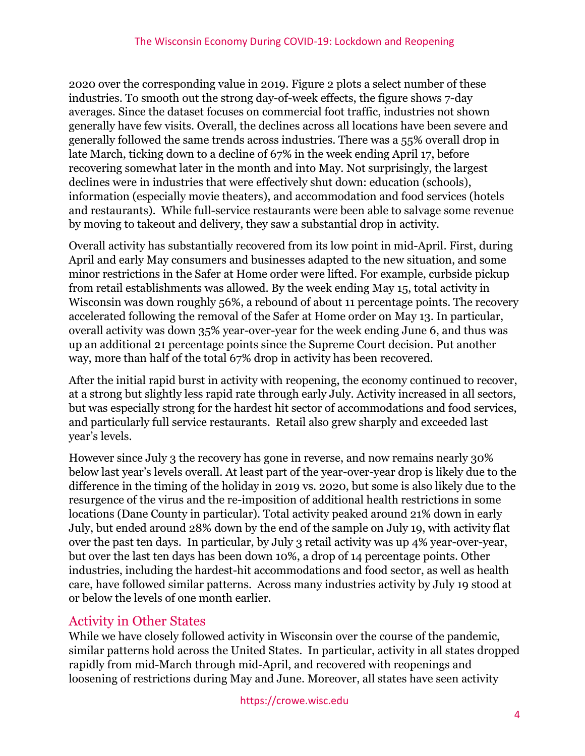2020 over the corresponding value in 2019. Figure 2 plots a select number of these industries. To smooth out the strong day-of-week effects, the figure shows 7-day averages. Since the dataset focuses on commercial foot traffic, industries not shown generally have few visits. Overall, the declines across all locations have been severe and generally followed the same trends across industries. There was a 55% overall drop in late March, ticking down to a decline of 67% in the week ending April 17, before recovering somewhat later in the month and into May. Not surprisingly, the largest declines were in industries that were effectively shut down: education (schools), information (especially movie theaters), and accommodation and food services (hotels and restaurants). While full-service restaurants were been able to salvage some revenue by moving to takeout and delivery, they saw a substantial drop in activity.

Overall activity has substantially recovered from its low point in mid-April. First, during April and early May consumers and businesses adapted to the new situation, and some minor restrictions in the Safer at Home order were lifted. For example, curbside pickup from retail establishments was allowed. By the week ending May 15, total activity in Wisconsin was down roughly 56%, a rebound of about 11 percentage points. The recovery accelerated following the removal of the Safer at Home order on May 13. In particular, overall activity was down 35% year-over-year for the week ending June 6, and thus was up an additional 21 percentage points since the Supreme Court decision. Put another way, more than half of the total 67% drop in activity has been recovered.

After the initial rapid burst in activity with reopening, the economy continued to recover, at a strong but slightly less rapid rate through early July. Activity increased in all sectors, but was especially strong for the hardest hit sector of accommodations and food services, and particularly full service restaurants. Retail also grew sharply and exceeded last year's levels.

However since July 3 the recovery has gone in reverse, and now remains nearly 30% below last year's levels overall. At least part of the year-over-year drop is likely due to the difference in the timing of the holiday in 2019 vs. 2020, but some is also likely due to the resurgence of the virus and the re-imposition of additional health restrictions in some locations (Dane County in particular). Total activity peaked around 21% down in early July, but ended around 28% down by the end of the sample on July 19, with activity flat over the past ten days. In particular, by July 3 retail activity was up 4% year-over-year, but over the last ten days has been down 10%, a drop of 14 percentage points. Other industries, including the hardest-hit accommodations and food sector, as well as health care, have followed similar patterns. Across many industries activity by July 19 stood at or below the levels of one month earlier.

# Activity in Other States

While we have closely followed activity in Wisconsin over the course of the pandemic, similar patterns hold across the United States. In particular, activity in all states dropped rapidly from mid-March through mid-April, and recovered with reopenings and loosening of restrictions during May and June. Moreover, all states have seen activity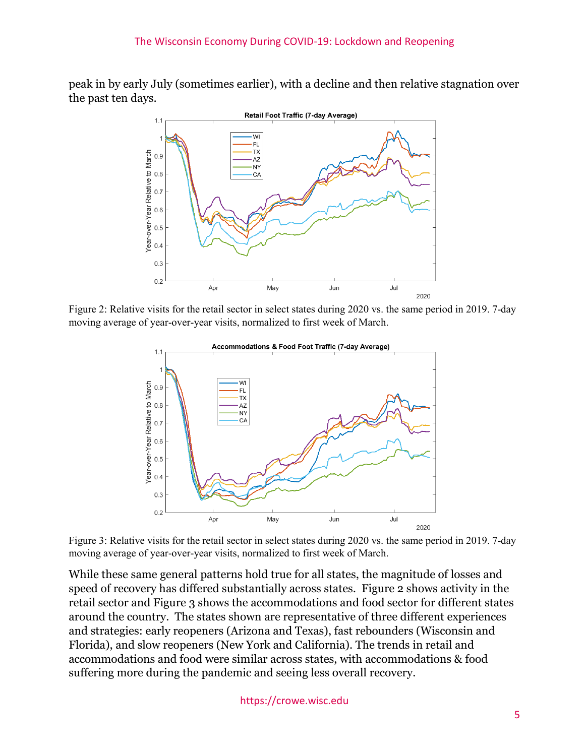peak in by early July (sometimes earlier), with a decline and then relative stagnation over the past ten days.



Figure 2: Relative visits for the retail sector in select states during 2020 vs. the same period in 2019. 7-day moving average of year-over-year visits, normalized to first week of March.



Figure 3: Relative visits for the retail sector in select states during 2020 vs. the same period in 2019. 7-day moving average of year-over-year visits, normalized to first week of March.

While these same general patterns hold true for all states, the magnitude of losses and speed of recovery has differed substantially across states. Figure 2 shows activity in the retail sector and Figure 3 shows the accommodations and food sector for different states around the country. The states shown are representative of three different experiences and strategies: early reopeners (Arizona and Texas), fast rebounders (Wisconsin and Florida), and slow reopeners (New York and California). The trends in retail and accommodations and food were similar across states, with accommodations & food suffering more during the pandemic and seeing less overall recovery.

https://crowe.wisc.edu